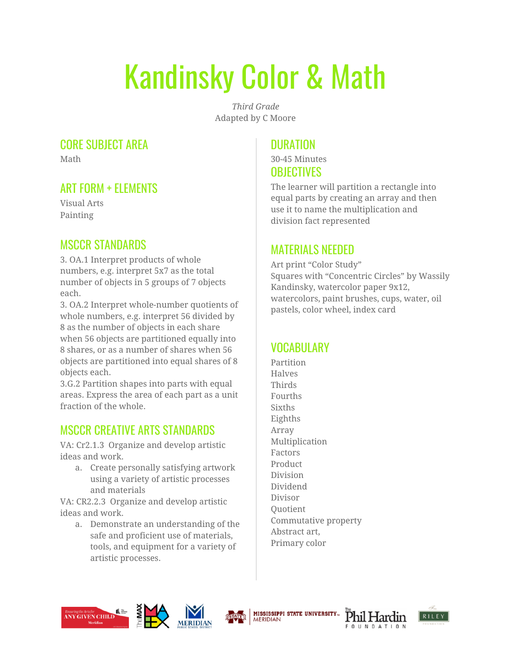# Kandinsky Color & Math

*Third Grade* Adapted by C Moore

#### CORE SUBJECT AREA

Math

## ART FORM + ELEMENTS

Visual Arts Painting

## MSCCR STANDARDS

3. OA.1 Interpret products of whole numbers, e.g. interpret 5x7 as the total number of objects in 5 groups of 7 objects each.

3. OA.2 Interpret whole-number quotients of whole numbers, e.g. interpret 56 divided by 8 as the number of objects in each share when 56 objects are partitioned equally into 8 shares, or as a number of shares when 56 objects are partitioned into equal shares of 8 objects each.

3.G.2 Partition shapes into parts with equal areas. Express the area of each part as a unit fraction of the whole.

## MSCCR CREATIVE ARTS STANDARDS

VA: Cr2.1.3 Organize and develop artistic ideas and work.

a. Create personally satisfying artwork using a variety of artistic processes and materials

VA: CR2.2.3 Organize and develop artistic ideas and work.

a. Demonstrate an understanding of the safe and proficient use of materials, tools, and equipment for a variety of artistic processes.

## **DURATION**

30-45 Minutes **OBJECTIVES** 

The learner will partition a rectangle into equal parts by creating an array and then use it to name the multiplication and division fact represented

#### MATERIALS NEEDED

Art print "Color Study" Squares with "Concentric Circles" by Wassily Kandinsky, watercolor paper 9x12, watercolors, paint brushes, cups, water, oil pastels, color wheel, index card

# **VOCABULARY**

Partition Halves Thirds Fourths **Sixths** Eighths Array Multiplication Factors Product Division Dividend Divisor Quotient Commutative property Abstract art, Primary color